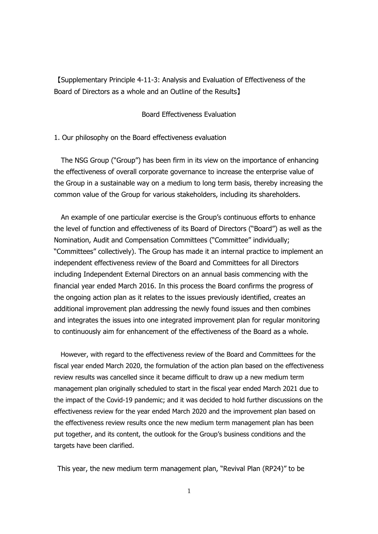【Supplementary Principle 4-11-3: Analysis and Evaluation of Effectiveness of the Board of Directors as a whole and an Outline of the Results】

## Board Effectiveness Evaluation

1. Our philosophy on the Board effectiveness evaluation

The NSG Group ("Group") has been firm in its view on the importance of enhancing the effectiveness of overall corporate governance to increase the enterprise value of the Group in a sustainable way on a medium to long term basis, thereby increasing the common value of the Group for various stakeholders, including its shareholders.

An example of one particular exercise is the Group's continuous efforts to enhance the level of function and effectiveness of its Board of Directors ("Board") as well as the Nomination, Audit and Compensation Committees ("Committee" individually; "Committees" collectively). The Group has made it an internal practice to implement an independent effectiveness review of the Board and Committees for all Directors including Independent External Directors on an annual basis commencing with the financial year ended March 2016. In this process the Board confirms the progress of the ongoing action plan as it relates to the issues previously identified, creates an additional improvement plan addressing the newly found issues and then combines and integrates the issues into one integrated improvement plan for regular monitoring to continuously aim for enhancement of the effectiveness of the Board as a whole.

However, with regard to the effectiveness review of the Board and Committees for the fiscal year ended March 2020, the formulation of the action plan based on the effectiveness review results was cancelled since it became difficult to draw up a new medium term management plan originally scheduled to start in the fiscal year ended March 2021 due to the impact of the Covid-19 pandemic; and it was decided to hold further discussions on the effectiveness review for the year ended March 2020 and the improvement plan based on the effectiveness review results once the new medium term management plan has been put together, and its content, the outlook for the Group's business conditions and the targets have been clarified.

This year, the new medium term management plan, "Revival Plan (RP24)" to be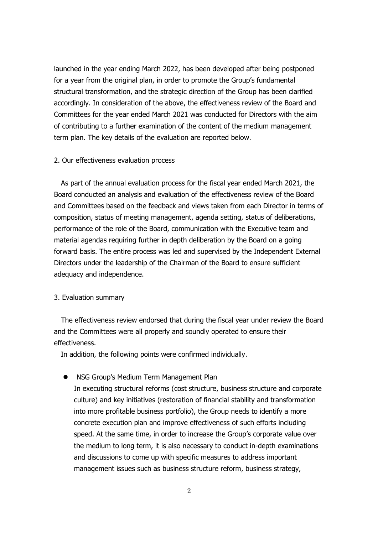launched in the year ending March 2022, has been developed after being postponed for a year from the original plan, in order to promote the Group's fundamental structural transformation, and the strategic direction of the Group has been clarified accordingly. In consideration of the above, the effectiveness review of the Board and Committees for the year ended March 2021 was conducted for Directors with the aim of contributing to a further examination of the content of the medium management term plan. The key details of the evaluation are reported below.

## 2. Our effectiveness evaluation process

As part of the annual evaluation process for the fiscal year ended March 2021, the Board conducted an analysis and evaluation of the effectiveness review of the Board and Committees based on the feedback and views taken from each Director in terms of composition, status of meeting management, agenda setting, status of deliberations, performance of the role of the Board, communication with the Executive team and material agendas requiring further in depth deliberation by the Board on a going forward basis. The entire process was led and supervised by the Independent External Directors under the leadership of the Chairman of the Board to ensure sufficient adequacy and independence.

## 3. Evaluation summary

The effectiveness review endorsed that during the fiscal year under review the Board and the Committees were all properly and soundly operated to ensure their effectiveness.

In addition, the following points were confirmed individually.

NSG Group's Medium Term Management Plan

In executing structural reforms (cost structure, business structure and corporate culture) and key initiatives (restoration of financial stability and transformation into more profitable business portfolio), the Group needs to identify a more concrete execution plan and improve effectiveness of such efforts including speed. At the same time, in order to increase the Group's corporate value over the medium to long term, it is also necessary to conduct in-depth examinations and discussions to come up with specific measures to address important management issues such as business structure reform, business strategy,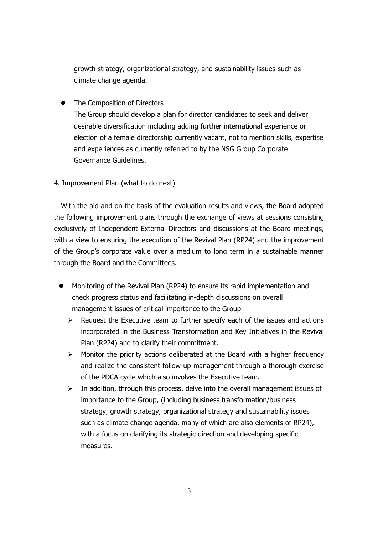growth strategy, organizational strategy, and sustainability issues such as climate change agenda.

The Composition of Directors

The Group should develop a plan for director candidates to seek and deliver desirable diversification including adding further international experience or election of a female directorship currently vacant, not to mention skills, expertise and experiences as currently referred to by the NSG Group Corporate Governance Guidelines.

4. Improvement Plan (what to do next)

With the aid and on the basis of the evaluation results and views, the Board adopted the following improvement plans through the exchange of views at sessions consisting exclusively of Independent External Directors and discussions at the Board meetings, with a view to ensuring the execution of the Revival Plan (RP24) and the improvement of the Group's corporate value over a medium to long term in a sustainable manner through the Board and the Committees.

- Monitoring of the Revival Plan (RP24) to ensure its rapid implementation and check progress status and facilitating in-depth discussions on overall management issues of critical importance to the Group
	- $\triangleright$  Request the Executive team to further specify each of the issues and actions incorporated in the Business Transformation and Key Initiatives in the Revival Plan (RP24) and to clarify their commitment.
	- $\triangleright$  Monitor the priority actions deliberated at the Board with a higher frequency and realize the consistent follow-up management through a thorough exercise of the PDCA cycle which also involves the Executive team.
	- $\triangleright$  In addition, through this process, delve into the overall management issues of importance to the Group, (including business transformation/business strategy, growth strategy, organizational strategy and sustainability issues such as climate change agenda, many of which are also elements of RP24), with a focus on clarifying its strategic direction and developing specific measures.